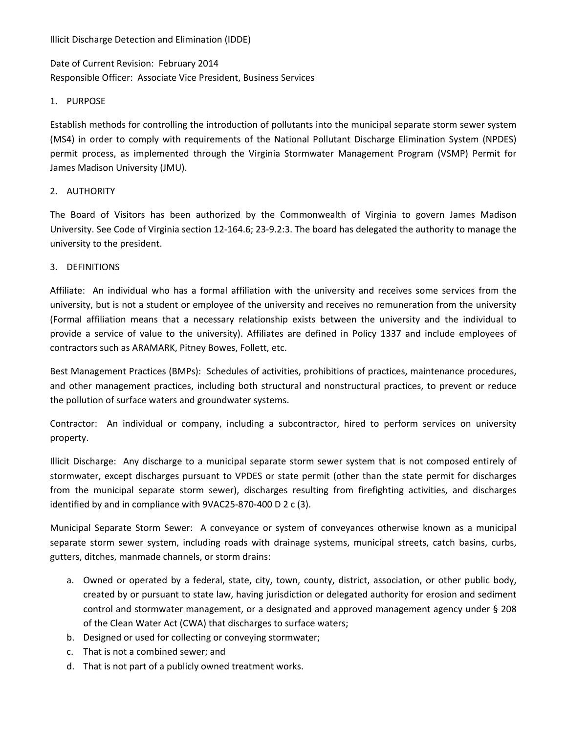Illicit Discharge Detection and Elimination (IDDE)

Date of Current Revision: February 2014 Responsible Officer: Associate Vice President, Business Services

### 1. PURPOSE

Establish methods for controlling the introduction of pollutants into the municipal separate storm sewer system (MS4) in order to comply with requirements of the National Pollutant Discharge Elimination System (NPDES) permit process, as implemented through the Virginia Stormwater Management Program (VSMP) Permit for James Madison University (JMU).

## 2. AUTHORITY

The Board of Visitors has been authorized by the Commonwealth of Virginia to govern James Madison University. See Code of Virginia section 12‐164.6; 23‐9.2:3. The board has delegated the authority to manage the university to the president.

## 3. DEFINITIONS

Affiliate: An individual who has a formal affiliation with the university and receives some services from the university, but is not a student or employee of the university and receives no remuneration from the university (Formal affiliation means that a necessary relationship exists between the university and the individual to provide a service of value to the university). Affiliates are defined in Policy 1337 and include employees of contractors such as ARAMARK, Pitney Bowes, Follett, etc.

Best Management Practices (BMPs): Schedules of activities, prohibitions of practices, maintenance procedures, and other management practices, including both structural and nonstructural practices, to prevent or reduce the pollution of surface waters and groundwater systems.

Contractor: An individual or company, including a subcontractor, hired to perform services on university property.

Illicit Discharge: Any discharge to a municipal separate storm sewer system that is not composed entirely of stormwater, except discharges pursuant to VPDES or state permit (other than the state permit for discharges from the municipal separate storm sewer), discharges resulting from firefighting activities, and discharges identified by and in compliance with 9VAC25‐870‐400 D 2 c (3).

Municipal Separate Storm Sewer: A conveyance or system of conveyances otherwise known as a municipal separate storm sewer system, including roads with drainage systems, municipal streets, catch basins, curbs, gutters, ditches, manmade channels, or storm drains:

- a. Owned or operated by a federal, state, city, town, county, district, association, or other public body, created by or pursuant to state law, having jurisdiction or delegated authority for erosion and sediment control and stormwater management, or a designated and approved management agency under § 208 of the Clean Water Act (CWA) that discharges to surface waters;
- b. Designed or used for collecting or conveying stormwater;
- c. That is not a combined sewer; and
- d. That is not part of a publicly owned treatment works.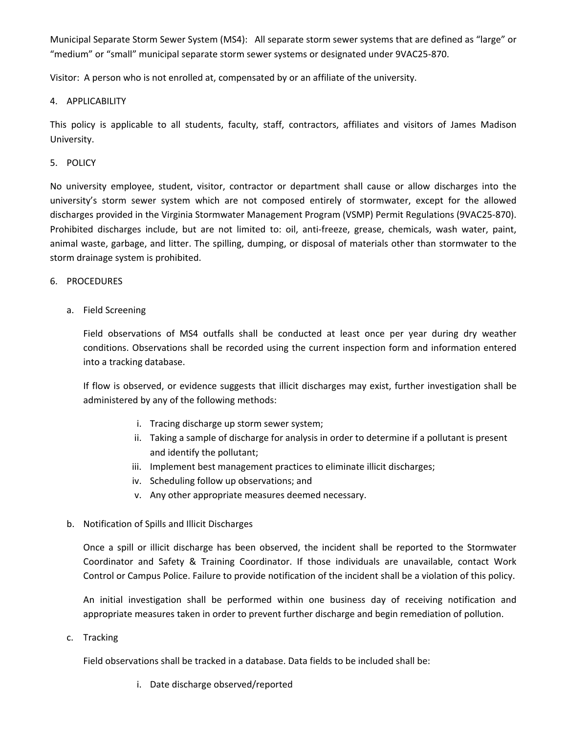Municipal Separate Storm Sewer System (MS4): All separate storm sewer systems that are defined as "large" or "medium" or "small" municipal separate storm sewer systems or designated under 9VAC25‐870.

Visitor: A person who is not enrolled at, compensated by or an affiliate of the university.

# 4. APPLICABILITY

This policy is applicable to all students, faculty, staff, contractors, affiliates and visitors of James Madison University.

## 5. POLICY

No university employee, student, visitor, contractor or department shall cause or allow discharges into the university's storm sewer system which are not composed entirely of stormwater, except for the allowed discharges provided in the Virginia Stormwater Management Program (VSMP) Permit Regulations (9VAC25‐870). Prohibited discharges include, but are not limited to: oil, anti‐freeze, grease, chemicals, wash water, paint, animal waste, garbage, and litter. The spilling, dumping, or disposal of materials other than stormwater to the storm drainage system is prohibited.

### 6. PROCEDURES

a. Field Screening

Field observations of MS4 outfalls shall be conducted at least once per year during dry weather conditions. Observations shall be recorded using the current inspection form and information entered into a tracking database.

If flow is observed, or evidence suggests that illicit discharges may exist, further investigation shall be administered by any of the following methods:

- i. Tracing discharge up storm sewer system;
- ii. Taking a sample of discharge for analysis in order to determine if a pollutant is present and identify the pollutant;
- iii. Implement best management practices to eliminate illicit discharges;
- iv. Scheduling follow up observations; and
- v. Any other appropriate measures deemed necessary.
- b. Notification of Spills and Illicit Discharges

Once a spill or illicit discharge has been observed, the incident shall be reported to the Stormwater Coordinator and Safety & Training Coordinator. If those individuals are unavailable, contact Work Control or Campus Police. Failure to provide notification of the incident shall be a violation of this policy.

An initial investigation shall be performed within one business day of receiving notification and appropriate measures taken in order to prevent further discharge and begin remediation of pollution.

c. Tracking

Field observations shall be tracked in a database. Data fields to be included shall be:

i. Date discharge observed/reported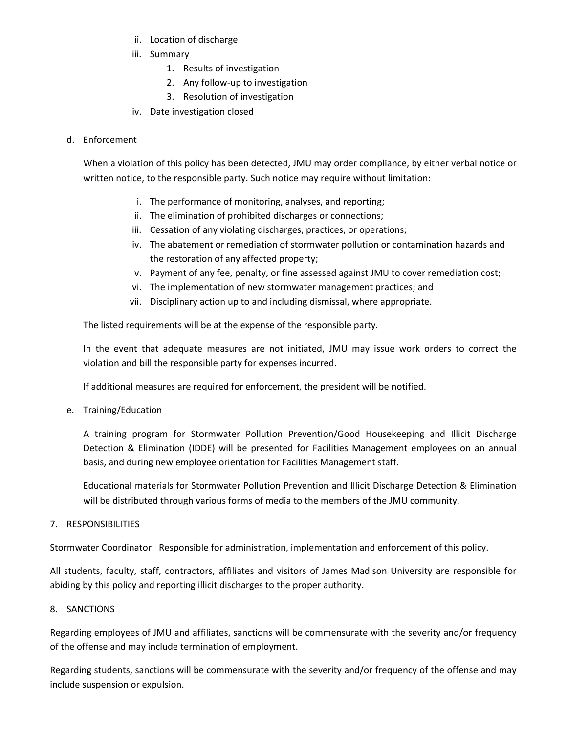- ii. Location of discharge
- iii. Summary
	- 1. Results of investigation
	- 2. Any follow‐up to investigation
	- 3. Resolution of investigation
- iv. Date investigation closed

# d. Enforcement

When a violation of this policy has been detected, JMU may order compliance, by either verbal notice or written notice, to the responsible party. Such notice may require without limitation:

- i. The performance of monitoring, analyses, and reporting;
- ii. The elimination of prohibited discharges or connections;
- iii. Cessation of any violating discharges, practices, or operations;
- iv. The abatement or remediation of stormwater pollution or contamination hazards and the restoration of any affected property;
- v. Payment of any fee, penalty, or fine assessed against JMU to cover remediation cost;
- vi. The implementation of new stormwater management practices; and
- vii. Disciplinary action up to and including dismissal, where appropriate.

The listed requirements will be at the expense of the responsible party.

In the event that adequate measures are not initiated, JMU may issue work orders to correct the violation and bill the responsible party for expenses incurred.

If additional measures are required for enforcement, the president will be notified.

e. Training/Education

A training program for Stormwater Pollution Prevention/Good Housekeeping and Illicit Discharge Detection & Elimination (IDDE) will be presented for Facilities Management employees on an annual basis, and during new employee orientation for Facilities Management staff.

Educational materials for Stormwater Pollution Prevention and Illicit Discharge Detection & Elimination will be distributed through various forms of media to the members of the JMU community.

7. RESPONSIBILITIES

Stormwater Coordinator: Responsible for administration, implementation and enforcement of this policy.

All students, faculty, staff, contractors, affiliates and visitors of James Madison University are responsible for abiding by this policy and reporting illicit discharges to the proper authority.

### 8. SANCTIONS

Regarding employees of JMU and affiliates, sanctions will be commensurate with the severity and/or frequency of the offense and may include termination of employment.

Regarding students, sanctions will be commensurate with the severity and/or frequency of the offense and may include suspension or expulsion.